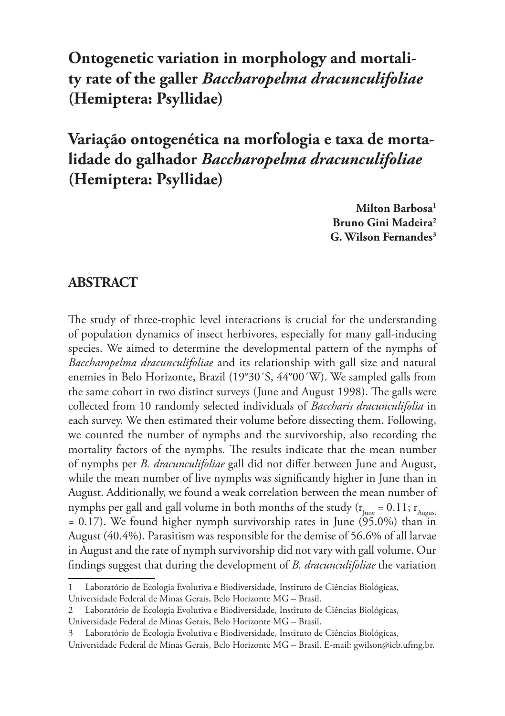**Ontogenetic variation in morphology and mortality rate of the galler** *Baccharopelma dracunculifoliae* **(Hemiptera: Psyllidae)**

**Variação ontogenética na morfologia e taxa de mortalidade do galhador** *Baccharopelma dracunculifoliae* **(Hemiptera: Psyllidae)**

> **Milton Barbosa1 Bruno Gini Madeira2 G. Wilson Fernandes3**

#### **ABSTRACT**

The study of three-trophic level interactions is crucial for the understanding of population dynamics of insect herbivores, especially for many gall-inducing species. We aimed to determine the developmental pattern of the nymphs of *Baccharopelma dracunculifoliae* and its relationship with gall size and natural enemies in Belo Horizonte, Brazil (19°30´S, 44°00´W). We sampled galls from the same cohort in two distinct surveys (June and August 1998). The galls were collected from 10 randomly selected individuals of *Baccharis dracunculifolia* in each survey. We then estimated their volume before dissecting them. Following, we counted the number of nymphs and the survivorship, also recording the mortality factors of the nymphs. The results indicate that the mean number of nymphs per *B. dracunculifoliae* gall did not differ between June and August, while the mean number of live nymphs was significantly higher in June than in August. Additionally, we found a weak correlation between the mean number of nymphs per gall and gall volume in both months of the study ( $r_{\text{line}} = 0.11$ ;  $r_{\text{Aupust}}$  $= 0.17$ ). We found higher nymph survivorship rates in June (95.0%) than in August (40.4%). Parasitism was responsible for the demise of 56.6% of all larvae in August and the rate of nymph survivorship did not vary with gall volume. Our findings suggest that during the development of *B. dracunculifoliae* the variation

<sup>1</sup> Laboratório de Ecologia Evolutiva e Biodiversidade, Instituto de Ciências Biológicas, Universidade Federal de Minas Gerais, Belo Horizonte MG – Brasil.

<sup>2</sup> Laboratório de Ecologia Evolutiva e Biodiversidade, Instituto de Ciências Biológicas,

Universidade Federal de Minas Gerais, Belo Horizonte MG – Brasil.

Laboratório de Ecologia Evolutiva e Biodiversidade, Instituto de Ciências Biológicas, Universidade Federal de Minas Gerais, Belo Horizonte MG – Brasil. E-mail: gwilson@icb.ufmg.br.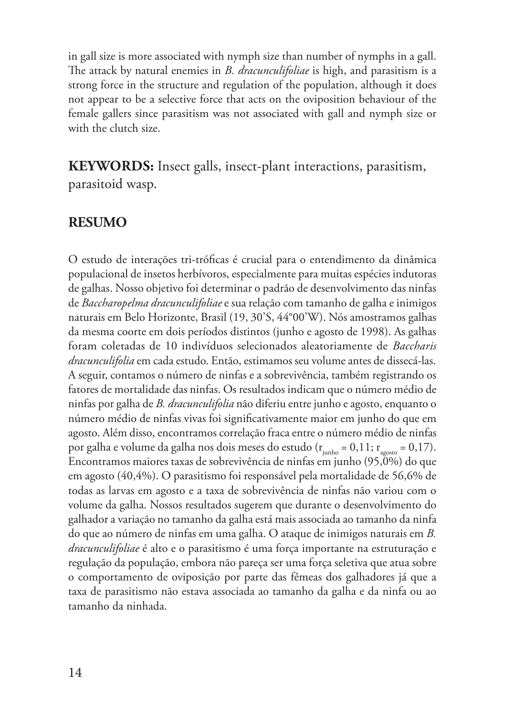in gall size is more associated with nymph size than number of nymphs in a gall. The attack by natural enemies in *B. dracunculifoliae* is high, and parasitism is a strong force in the structure and regulation of the population, although it does not appear to be a selective force that acts on the oviposition behaviour of the female gallers since parasitism was not associated with gall and nymph size or with the clutch size.

**KEYWORDS:** Insect galls, insect-plant interactions, parasitism, parasitoid wasp.

#### **RESUMO**

O estudo de interações tri-tróficas é crucial para o entendimento da dinâmica populacional de insetos herbívoros, especialmente para muitas espécies indutoras de galhas. Nosso objetivo foi determinar o padrão de desenvolvimento das ninfas de *Baccharopelma dracunculifoliae* e sua relação com tamanho de galha e inimigos naturais em Belo Horizonte, Brasil (19, 30'S, 44°00'W). Nós amostramos galhas da mesma coorte em dois períodos distintos (junho e agosto de 1998). As galhas foram coletadas de 10 indivíduos selecionados aleatoriamente de *Baccharis dracunculifolia* em cada estudo. Então, estimamos seu volume antes de dissecá-las. A seguir, contamos o número de ninfas e a sobrevivência, também registrando os fatores de mortalidade das ninfas. Os resultados indicam que o número médio de ninfas por galha de *B. dracunculifolia* não diferiu entre junho e agosto, enquanto o número médio de ninfas vivas foi significativamente maior em junho do que em agosto. Além disso, encontramos correlação fraca entre o número médio de ninfas por galha e volume da galha nos dois meses do estudo ( $r_{\text{iunho}} = 0.11$ ;  $r_{\text{aoson}} = 0.17$ ). Encontramos maiores taxas de sobrevivência de ninfas em junho (95,0%) do que em agosto (40,4%). O parasitismo foi responsável pela mortalidade de 56,6% de todas as larvas em agosto e a taxa de sobrevivência de ninfas não variou com o volume da galha. Nossos resultados sugerem que durante o desenvolvimento do galhador a variação no tamanho da galha está mais associada ao tamanho da ninfa do que ao número de ninfas em uma galha. O ataque de inimigos naturais em *B. dracunculifoliae* é alto e o parasitismo é uma força importante na estruturação e regulação da população, embora não pareça ser uma força seletiva que atua sobre o comportamento de oviposição por parte das fêmeas dos galhadores já que a taxa de parasitismo não estava associada ao tamanho da galha e da ninfa ou ao tamanho da ninhada.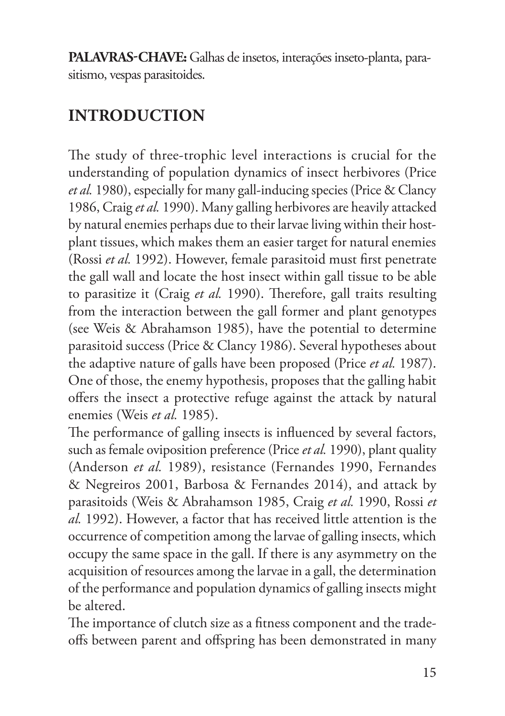**PALAVRAS-CHAVE:** Galhas de insetos, interações inseto-planta, parasitismo, vespas parasitoides.

# **INTRODUCTION**

The study of three-trophic level interactions is crucial for the understanding of population dynamics of insect herbivores (Price *et al.* 1980), especially for many gall-inducing species (Price & Clancy 1986, Craig *et al.* 1990). Many galling herbivores are heavily attacked by natural enemies perhaps due to their larvae living within their hostplant tissues, which makes them an easier target for natural enemies (Rossi *et al.* 1992). However, female parasitoid must first penetrate the gall wall and locate the host insect within gall tissue to be able to parasitize it (Craig *et al.* 1990). Therefore, gall traits resulting from the interaction between the gall former and plant genotypes (see Weis & Abrahamson 1985), have the potential to determine parasitoid success (Price & Clancy 1986). Several hypotheses about the adaptive nature of galls have been proposed (Price *et al.* 1987). One of those, the enemy hypothesis, proposes that the galling habit offers the insect a protective refuge against the attack by natural enemies (Weis *et al.* 1985).

The performance of galling insects is influenced by several factors, such as female oviposition preference (Price *et al.* 1990), plant quality (Anderson *et al.* 1989), resistance (Fernandes 1990, Fernandes & Negreiros 2001, Barbosa & Fernandes 2014), and attack by parasitoids (Weis & Abrahamson 1985, Craig *et al.* 1990, Rossi *et al.* 1992). However, a factor that has received little attention is the occurrence of competition among the larvae of galling insects, which occupy the same space in the gall. If there is any asymmetry on the acquisition of resources among the larvae in a gall, the determination of the performance and population dynamics of galling insects might be altered.

The importance of clutch size as a fitness component and the tradeoffs between parent and offspring has been demonstrated in many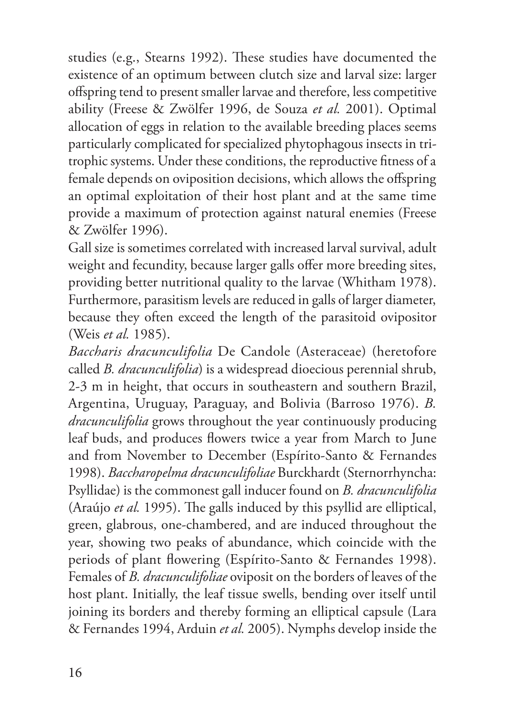studies (e.g., Stearns 1992). These studies have documented the existence of an optimum between clutch size and larval size: larger offspring tend to present smaller larvae and therefore, less competitive ability (Freese & Zwölfer 1996, de Souza *et al.* 2001). Optimal allocation of eggs in relation to the available breeding places seems particularly complicated for specialized phytophagous insects in tritrophic systems. Under these conditions, the reproductive fitness of a female depends on oviposition decisions, which allows the offspring an optimal exploitation of their host plant and at the same time provide a maximum of protection against natural enemies (Freese & Zwölfer 1996).

Gall size is sometimes correlated with increased larval survival, adult weight and fecundity, because larger galls offer more breeding sites, providing better nutritional quality to the larvae (Whitham 1978). Furthermore, parasitism levels are reduced in galls of larger diameter, because they often exceed the length of the parasitoid ovipositor (Weis *et al.* 1985).

*Baccharis dracunculifolia* De Candole (Asteraceae) (heretofore called *B. dracunculifolia*) is a widespread dioecious perennial shrub, 2-3 m in height, that occurs in southeastern and southern Brazil, Argentina, Uruguay, Paraguay, and Bolivia (Barroso 1976). *B. dracunculifolia* grows throughout the year continuously producing leaf buds, and produces flowers twice a year from March to June and from November to December (Espírito-Santo & Fernandes 1998). *Baccharopelma dracunculifoliae* Burckhardt (Sternorrhyncha: Psyllidae) is the commonest gall inducer found on *B. dracunculifolia*  (Araújo *et al.* 1995). The galls induced by this psyllid are elliptical, green, glabrous, one-chambered, and are induced throughout the year, showing two peaks of abundance, which coincide with the periods of plant flowering (Espírito-Santo & Fernandes 1998). Females of *B. dracunculifoliae* oviposit on the borders of leaves of the host plant. Initially, the leaf tissue swells, bending over itself until joining its borders and thereby forming an elliptical capsule (Lara & Fernandes 1994, Arduin *et al.* 2005). Nymphs develop inside the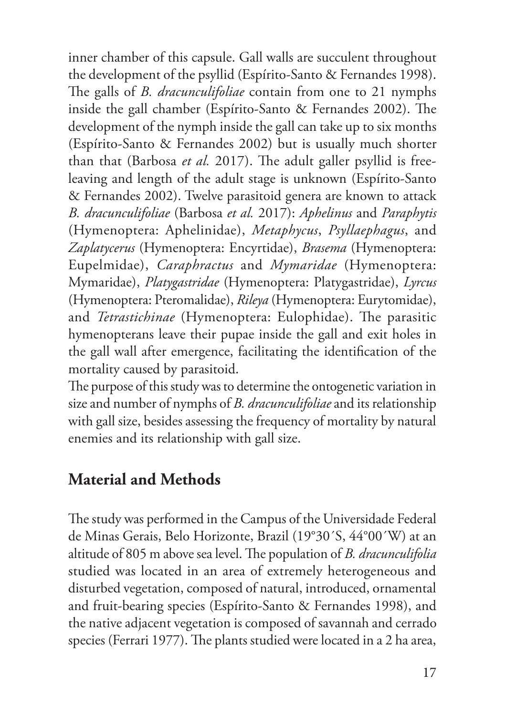inner chamber of this capsule. Gall walls are succulent throughout the development of the psyllid (Espírito-Santo & Fernandes 1998). The galls of *B. dracunculifoliae* contain from one to 21 nymphs inside the gall chamber (Espírito-Santo & Fernandes 2002). The development of the nymph inside the gall can take up to six months (Espírito-Santo & Fernandes 2002) but is usually much shorter than that (Barbosa *et al.* 2017). The adult galler psyllid is freeleaving and length of the adult stage is unknown (Espírito-Santo & Fernandes 2002). Twelve parasitoid genera are known to attack *B. dracunculifoliae* (Barbosa *et al.* 2017): *Aphelinus* and *Paraphytis* (Hymenoptera: Aphelinidae), *Metaphycus*, *Psyllaephagus*, and *Zaplatycerus* (Hymenoptera: Encyrtidae), *Brasema* (Hymenoptera: Eupelmidae), *Caraphractus* and *Mymaridae* (Hymenoptera: Mymaridae), *Platygastridae* (Hymenoptera: Platygastridae), *Lyrcus* (Hymenoptera: Pteromalidae), *Rileya* (Hymenoptera: Eurytomidae), and *Tetrastichinae* (Hymenoptera: Eulophidae). The parasitic hymenopterans leave their pupae inside the gall and exit holes in the gall wall after emergence, facilitating the identification of the mortality caused by parasitoid.

The purpose of this study was to determine the ontogenetic variation in size and number of nymphs of *B. dracunculifoliae* and its relationship with gall size, besides assessing the frequency of mortality by natural enemies and its relationship with gall size.

### **Material and Methods**

The study was performed in the Campus of the Universidade Federal de Minas Gerais, Belo Horizonte, Brazil (19°30´S, 44°00´W) at an altitude of 805 m above sea level. The population of *B. dracunculifolia*  studied was located in an area of extremely heterogeneous and disturbed vegetation, composed of natural, introduced, ornamental and fruit-bearing species (Espírito-Santo & Fernandes 1998), and the native adjacent vegetation is composed of savannah and cerrado species (Ferrari 1977). The plants studied were located in a 2 ha area,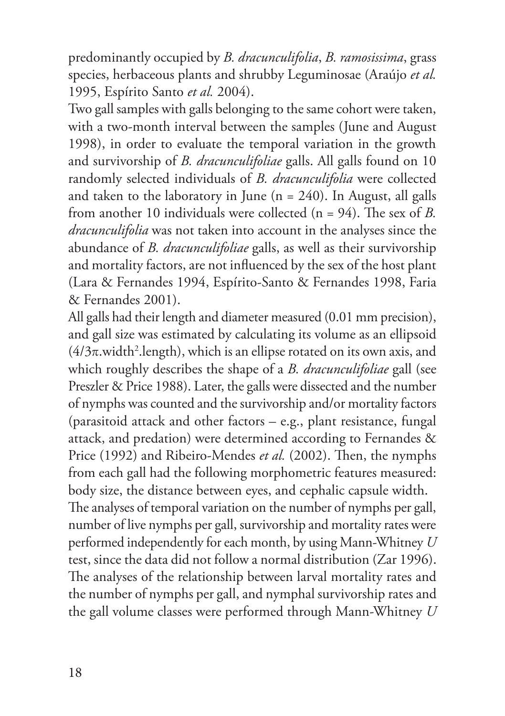predominantly occupied by *B. dracunculifolia*, *B. ramosissima*, grass species, herbaceous plants and shrubby Leguminosae (Araújo *et al.* 1995, Espírito Santo *et al.* 2004).

Two gall samples with galls belonging to the same cohort were taken, with a two-month interval between the samples (June and August 1998), in order to evaluate the temporal variation in the growth and survivorship of *B. dracunculifoliae* galls. All galls found on 10 randomly selected individuals of *B. dracunculifolia* were collected and taken to the laboratory in June  $(n = 240)$ . In August, all galls from another 10 individuals were collected (n = 94). The sex of *B. dracunculifolia* was not taken into account in the analyses since the abundance of *B. dracunculifoliae* galls, as well as their survivorship and mortality factors, are not influenced by the sex of the host plant (Lara & Fernandes 1994, Espírito-Santo & Fernandes 1998, Faria & Fernandes 2001).

All galls had their length and diameter measured (0.01 mm precision), and gall size was estimated by calculating its volume as an ellipsoid (4/3π.width<sup>2</sup>.length), which is an ellipse rotated on its own axis, and which roughly describes the shape of a *B. dracunculifoliae* gall (see Preszler & Price 1988). Later, the galls were dissected and the number of nymphs was counted and the survivorship and/or mortality factors (parasitoid attack and other factors – e.g., plant resistance, fungal attack, and predation) were determined according to Fernandes & Price (1992) and Ribeiro-Mendes *et al.* (2002). Then, the nymphs from each gall had the following morphometric features measured: body size, the distance between eyes, and cephalic capsule width. The analyses of temporal variation on the number of nymphs per gall, number of live nymphs per gall, survivorship and mortality rates were performed independently for each month, by using Mann-Whitney *U*  test, since the data did not follow a normal distribution (Zar 1996). The analyses of the relationship between larval mortality rates and the number of nymphs per gall, and nymphal survivorship rates and

the gall volume classes were performed through Mann-Whitney *U*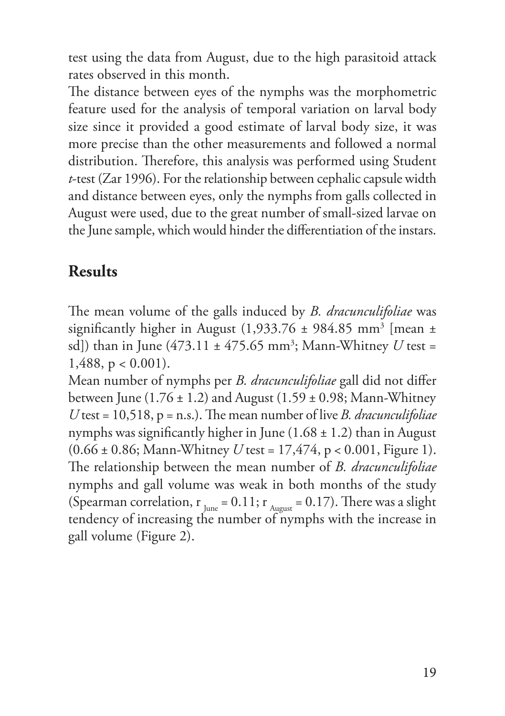test using the data from August, due to the high parasitoid attack rates observed in this month.

The distance between eyes of the nymphs was the morphometric feature used for the analysis of temporal variation on larval body size since it provided a good estimate of larval body size, it was more precise than the other measurements and followed a normal distribution. Therefore, this analysis was performed using Student *t*-test (Zar 1996). For the relationship between cephalic capsule width and distance between eyes, only the nymphs from galls collected in August were used, due to the great number of small-sized larvae on the June sample, which would hinder the differentiation of the instars.

### **Results**

The mean volume of the galls induced by *B. dracunculifoliae* was significantly higher in August (1,933.76  $\pm$  984.85 mm<sup>3</sup> [mean  $\pm$ sd]) than in June (473.11 ± 475.65 mm3 ; Mann-Whitney *U* test = 1,488, p < 0.001).

Mean number of nymphs per *B. dracunculifoliae* gall did not differ between June  $(1.76 \pm 1.2)$  and August  $(1.59 \pm 0.98)$ ; Mann-Whitney *U* test = 10,518, p = n.s.). The mean number of live *B. dracunculifoliae*  nymphs was significantly higher in June  $(1.68 \pm 1.2)$  than in August (0.66 ± 0.86; Mann-Whitney *U* test = 17,474, p < 0.001, Figure 1). The relationship between the mean number of *B. dracunculifoliae*  nymphs and gall volume was weak in both months of the study (Spearman correlation,  $r_{\text{June}} = 0.11$ ;  $r_{\text{August}} = 0.17$ ). There was a slight tendency of increasing the number of nymphs with the increase in gall volume (Figure 2).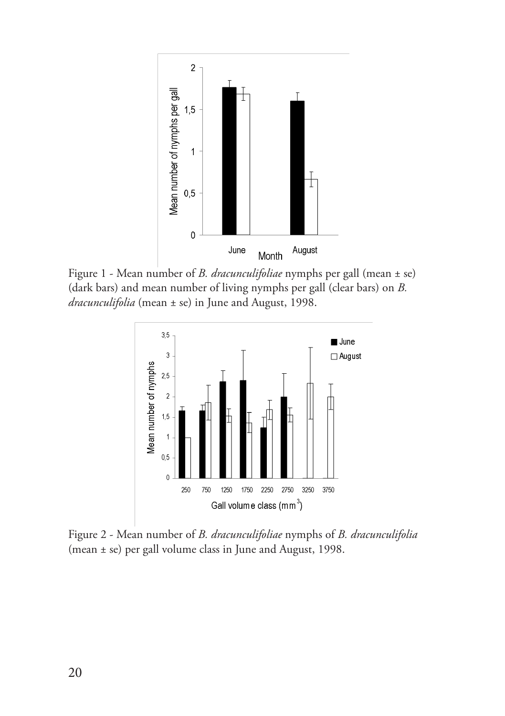

Figure 1 - Mean number of *B. dracunculifoliae* nymphs per gall (mean ± se) (dark bars) and mean number of living nymphs per gall (clear bars) on *B. dracunculifolia* (mean ± se) in June and August, 1998.



Figure 2 - Mean number of *B. dracunculifoliae* nymphs of *B. dracunculifolia* (mean ± se) per gall volume class in June and August, 1998.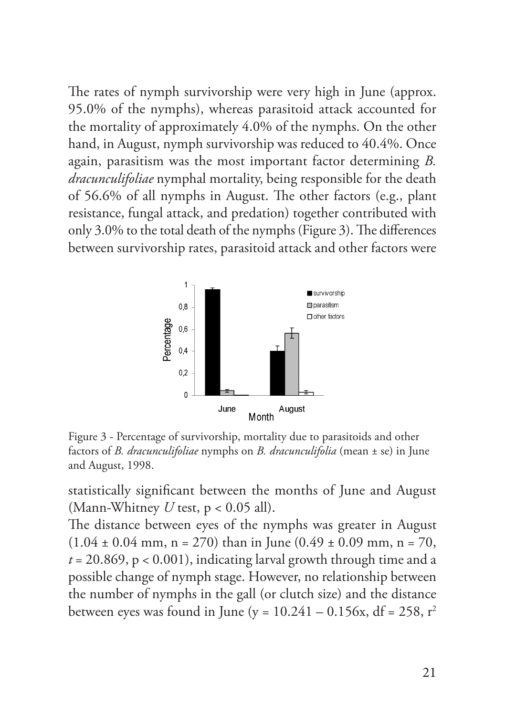The rates of nymph survivorship were very high in June (approx. 95.0% of the nymphs), whereas parasitoid attack accounted for the mortality of approximately 4.0% of the nymphs. On the other hand, in August, nymph survivorship was reduced to 40.4%. Once again, parasitism was the most important factor determining *B. dracunculifoliae* nymphal mortality, being responsible for the death of 56.6% of all nymphs in August. The other factors (e.g., plant resistance, fungal attack, and predation) together contributed with only 3.0% to the total death of the nymphs (Figure 3). The differences between survivorship rates, parasitoid attack and other factors were



Figure 3 - Percentage of survivorship, mortality due to parasitoids and other factors of *B. dracunculifoliae* nymphs on *B. dracunculifolia* (mean ± se) in June and August, 1998.

statistically significant between the months of June and August (Mann-Whitney *U* test, p < 0.05 all).

The distance between eyes of the nymphs was greater in August  $(1.04 \pm 0.04 \text{ mm}, n = 270)$  than in June  $(0.49 \pm 0.09 \text{ mm}, n = 70,$  $t = 20.869$ ,  $p < 0.001$ ), indicating larval growth through time and a possible change of nymph stage. However, no relationship between the number of nymphs in the gall (or clutch size) and the distance between eyes was found in June (y =  $10.241 - 0.156x$ , df =  $258$ , r<sup>2</sup>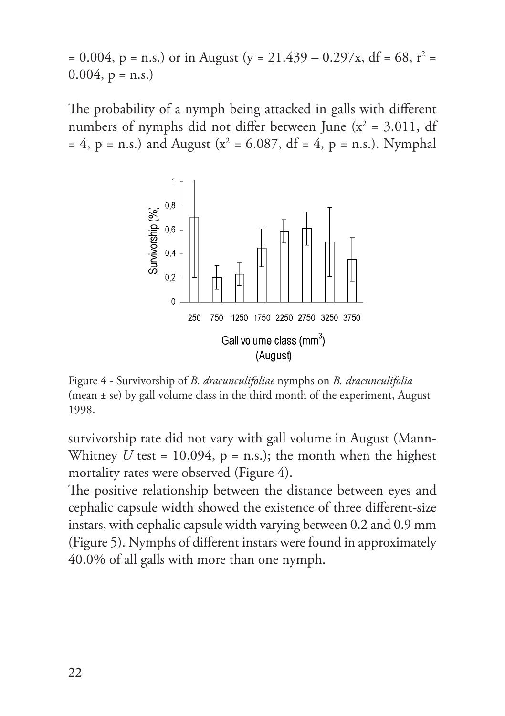$= 0.004, p = n.s.)$  or in August (y = 21.439 – 0.297x, df = 68, r<sup>2</sup> =  $0.004$ ,  $p = n.s.$ )

The probability of a nymph being attacked in galls with different numbers of nymphs did not differ between June ( $x^2 = 3.011$ , df  $= 4$ ,  $p = n.s.$ ) and August ( $x^2 = 6.087$ , df = 4,  $p = n.s.$ ). Nymphal



Figure 4 - Survivorship of *B. dracunculifoliae* nymphs on *B. dracunculifolia* (mean ± se) by gall volume class in the third month of the experiment, August 1998.

survivorship rate did not vary with gall volume in August (Mann-Whitney  $U$  test = 10.094,  $p = n.s.$ ); the month when the highest mortality rates were observed (Figure 4).

The positive relationship between the distance between eyes and cephalic capsule width showed the existence of three different-size instars, with cephalic capsule width varying between 0.2 and 0.9 mm (Figure 5). Nymphs of different instars were found in approximately 40.0% of all galls with more than one nymph.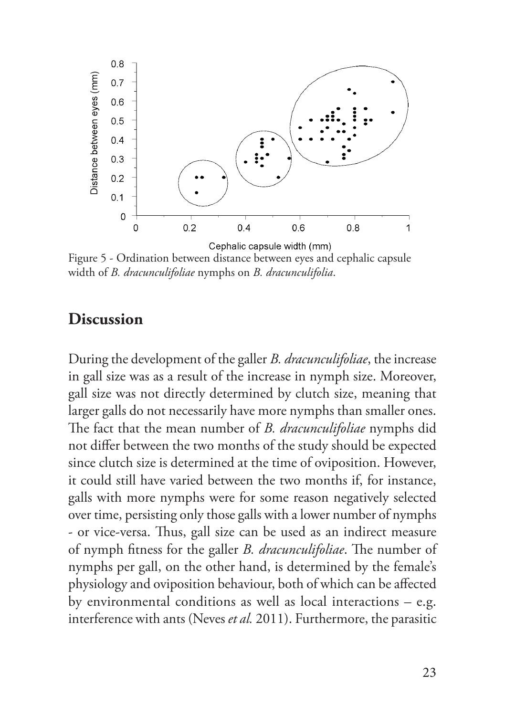

Figure 5 - Ordination between distance between eyes and cephalic capsule width of *B. dracunculifoliae* nymphs on *B. dracunculifolia*.

#### **Discussion**

During the development of the galler *B. dracunculifoliae*, the increase in gall size was as a result of the increase in nymph size. Moreover, gall size was not directly determined by clutch size, meaning that larger galls do not necessarily have more nymphs than smaller ones. The fact that the mean number of *B. dracunculifoliae* nymphs did not differ between the two months of the study should be expected since clutch size is determined at the time of oviposition. However, it could still have varied between the two months if, for instance, galls with more nymphs were for some reason negatively selected over time, persisting only those galls with a lower number of nymphs - or vice-versa. Thus, gall size can be used as an indirect measure of nymph fitness for the galler *B. dracunculifoliae*. The number of nymphs per gall, on the other hand, is determined by the female's physiology and oviposition behaviour, both of which can be affected by environmental conditions as well as local interactions – e.g. interference with ants (Neves *et al.* 2011). Furthermore, the parasitic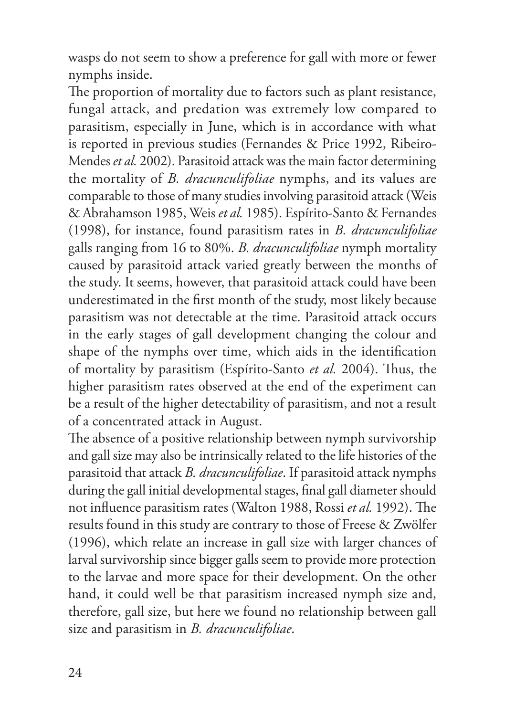wasps do not seem to show a preference for gall with more or fewer nymphs inside.

The proportion of mortality due to factors such as plant resistance, fungal attack, and predation was extremely low compared to parasitism, especially in June, which is in accordance with what is reported in previous studies (Fernandes & Price 1992, Ribeiro-Mendes *et al.* 2002). Parasitoid attack was the main factor determining the mortality of *B. dracunculifoliae* nymphs, and its values are comparable to those of many studies involving parasitoid attack (Weis & Abrahamson 1985, Weis *et al.* 1985). Espírito-Santo & Fernandes (1998), for instance, found parasitism rates in *B. dracunculifoliae*  galls ranging from 16 to 80%. *B. dracunculifoliae* nymph mortality caused by parasitoid attack varied greatly between the months of the study. It seems, however, that parasitoid attack could have been underestimated in the first month of the study, most likely because parasitism was not detectable at the time. Parasitoid attack occurs in the early stages of gall development changing the colour and shape of the nymphs over time, which aids in the identification of mortality by parasitism (Espírito-Santo *et al.* 2004). Thus, the higher parasitism rates observed at the end of the experiment can be a result of the higher detectability of parasitism, and not a result of a concentrated attack in August.

The absence of a positive relationship between nymph survivorship and gall size may also be intrinsically related to the life histories of the parasitoid that attack *B. dracunculifoliae*. If parasitoid attack nymphs during the gall initial developmental stages, final gall diameter should not influence parasitism rates (Walton 1988, Rossi *et al.* 1992). The results found in this study are contrary to those of Freese & Zwölfer (1996), which relate an increase in gall size with larger chances of larval survivorship since bigger galls seem to provide more protection to the larvae and more space for their development. On the other hand, it could well be that parasitism increased nymph size and, therefore, gall size, but here we found no relationship between gall size and parasitism in *B. dracunculifoliae*.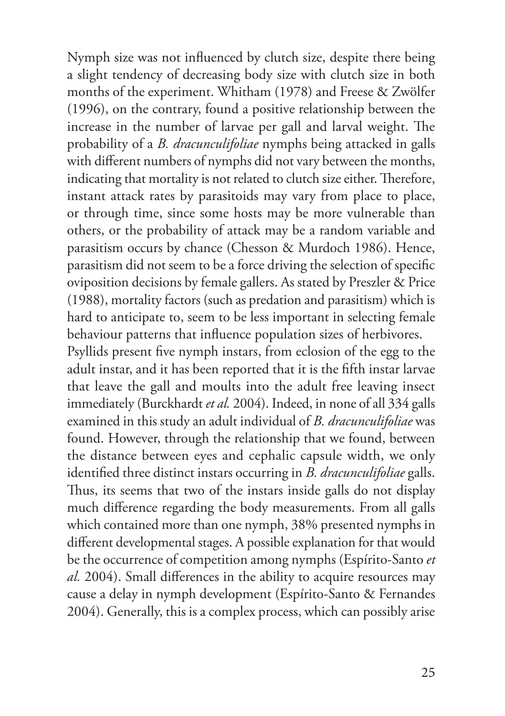Nymph size was not influenced by clutch size, despite there being a slight tendency of decreasing body size with clutch size in both months of the experiment. Whitham (1978) and Freese & Zwölfer (1996), on the contrary, found a positive relationship between the increase in the number of larvae per gall and larval weight. The probability of a *B. dracunculifoliae* nymphs being attacked in galls with different numbers of nymphs did not vary between the months, indicating that mortality is not related to clutch size either. Therefore, instant attack rates by parasitoids may vary from place to place, or through time, since some hosts may be more vulnerable than others, or the probability of attack may be a random variable and parasitism occurs by chance (Chesson & Murdoch 1986). Hence, parasitism did not seem to be a force driving the selection of specific oviposition decisions by female gallers. As stated by Preszler & Price (1988), mortality factors (such as predation and parasitism) which is hard to anticipate to, seem to be less important in selecting female behaviour patterns that influence population sizes of herbivores.

Psyllids present five nymph instars, from eclosion of the egg to the adult instar, and it has been reported that it is the fifth instar larvae that leave the gall and moults into the adult free leaving insect immediately (Burckhardt *et al.* 2004). Indeed, in none of all 334 galls examined in this study an adult individual of *B. dracunculifoliae* was found. However, through the relationship that we found, between the distance between eyes and cephalic capsule width, we only identified three distinct instars occurring in *B. dracunculifoliae* galls. Thus, its seems that two of the instars inside galls do not display much difference regarding the body measurements. From all galls which contained more than one nymph, 38% presented nymphs in different developmental stages. A possible explanation for that would be the occurrence of competition among nymphs (Espírito-Santo *et al.* 2004). Small differences in the ability to acquire resources may cause a delay in nymph development (Espírito-Santo & Fernandes 2004). Generally, this is a complex process, which can possibly arise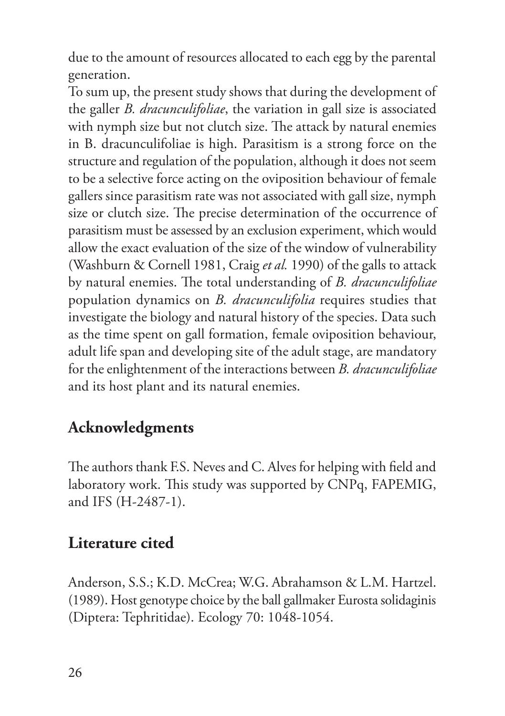due to the amount of resources allocated to each egg by the parental generation.

To sum up, the present study shows that during the development of the galler *B. dracunculifoliae*, the variation in gall size is associated with nymph size but not clutch size. The attack by natural enemies in B. dracunculifoliae is high. Parasitism is a strong force on the structure and regulation of the population, although it does not seem to be a selective force acting on the oviposition behaviour of female gallers since parasitism rate was not associated with gall size, nymph size or clutch size. The precise determination of the occurrence of parasitism must be assessed by an exclusion experiment, which would allow the exact evaluation of the size of the window of vulnerability (Washburn & Cornell 1981, Craig *et al.* 1990) of the galls to attack by natural enemies. The total understanding of *B. dracunculifoliae*  population dynamics on *B. dracunculifolia* requires studies that investigate the biology and natural history of the species. Data such as the time spent on gall formation, female oviposition behaviour, adult life span and developing site of the adult stage, are mandatory for the enlightenment of the interactions between *B. dracunculifoliae* and its host plant and its natural enemies.

### **Acknowledgments**

The authors thank F.S. Neves and C. Alves for helping with field and laboratory work. This study was supported by CNPq, FAPEMIG, and IFS (H-2487-1).

## **Literature cited**

Anderson, S.S.; K.D. McCrea; W.G. Abrahamson & L.M. Hartzel. (1989). Host genotype choice by the ball gallmaker Eurosta solidaginis (Diptera: Tephritidae). Ecology 70: 1048-1054.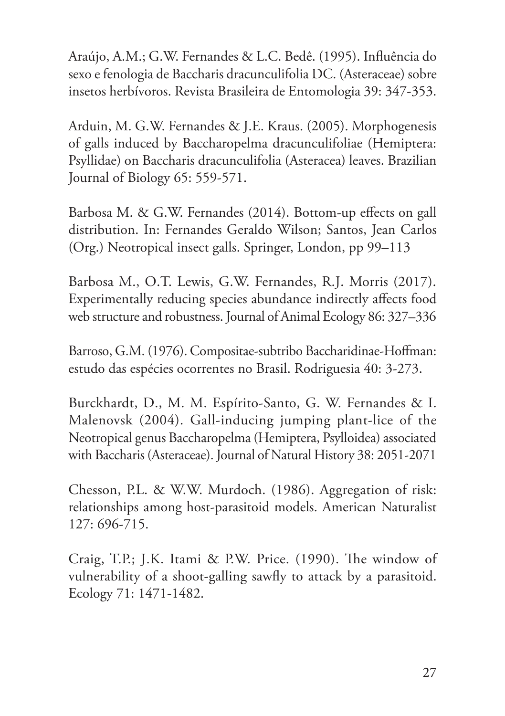Araújo, A.M.; G.W. Fernandes & L.C. Bedê. (1995). Influência do sexo e fenologia de Baccharis dracunculifolia DC. (Asteraceae) sobre insetos herbívoros. Revista Brasileira de Entomologia 39: 347-353.

Arduin, M. G.W. Fernandes & J.E. Kraus. (2005). Morphogenesis of galls induced by Baccharopelma dracunculifoliae (Hemiptera: Psyllidae) on Baccharis dracunculifolia (Asteracea) leaves. Brazilian Journal of Biology 65: 559-571.

Barbosa M. & G.W. Fernandes (2014). Bottom-up effects on gall distribution. In: Fernandes Geraldo Wilson; Santos, Jean Carlos (Org.) Neotropical insect galls. Springer, London, pp 99–113

Barbosa M., O.T. Lewis, G.W. Fernandes, R.J. Morris (2017). Experimentally reducing species abundance indirectly affects food web structure and robustness. Journal of Animal Ecology 86: 327–336

Barroso, G.M. (1976). Compositae-subtribo Baccharidinae-Hoffman: estudo das espécies ocorrentes no Brasil. Rodriguesia 40: 3-273.

Burckhardt, D., M. M. Espírito-Santo, G. W. Fernandes & I. Malenovsk (2004). Gall-inducing jumping plant-lice of the Neotropical genus Baccharopelma (Hemiptera, Psylloidea) associated with Baccharis (Asteraceae). Journal of Natural History 38: 2051-2071

Chesson, P.L. & W.W. Murdoch. (1986). Aggregation of risk: relationships among host-parasitoid models. American Naturalist 127: 696-715.

Craig, T.P.; J.K. Itami & P.W. Price. (1990). The window of vulnerability of a shoot-galling sawfly to attack by a parasitoid. Ecology 71: 1471-1482.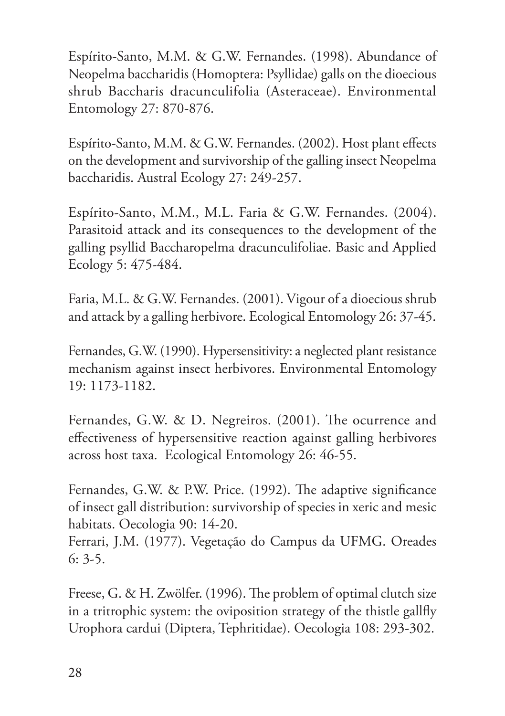Espírito-Santo, M.M. & G.W. Fernandes. (1998). Abundance of Neopelma baccharidis (Homoptera: Psyllidae) galls on the dioecious shrub Baccharis dracunculifolia (Asteraceae). Environmental Entomology 27: 870-876.

Espírito-Santo, M.M. & G.W. Fernandes. (2002). Host plant effects on the development and survivorship of the galling insect Neopelma baccharidis. Austral Ecology 27: 249-257.

Espírito-Santo, M.M., M.L. Faria & G.W. Fernandes. (2004). Parasitoid attack and its consequences to the development of the galling psyllid Baccharopelma dracunculifoliae. Basic and Applied Ecology 5: 475-484.

Faria, M.L. & G.W. Fernandes. (2001). Vigour of a dioecious shrub and attack by a galling herbivore. Ecological Entomology 26: 37-45.

Fernandes, G.W. (1990). Hypersensitivity: a neglected plant resistance mechanism against insect herbivores. Environmental Entomology 19: 1173-1182.

Fernandes, G.W. & D. Negreiros. (2001). The ocurrence and effectiveness of hypersensitive reaction against galling herbivores across host taxa. Ecological Entomology 26: 46-55.

Fernandes, G.W. & P.W. Price. (1992). The adaptive significance of insect gall distribution: survivorship of species in xeric and mesic habitats. Oecologia 90: 14-20.

Ferrari, J.M. (1977). Vegetação do Campus da UFMG. Oreades 6: 3-5.

Freese, G. & H. Zwölfer. (1996). The problem of optimal clutch size in a tritrophic system: the oviposition strategy of the thistle gallfly Urophora cardui (Diptera, Tephritidae). Oecologia 108: 293-302.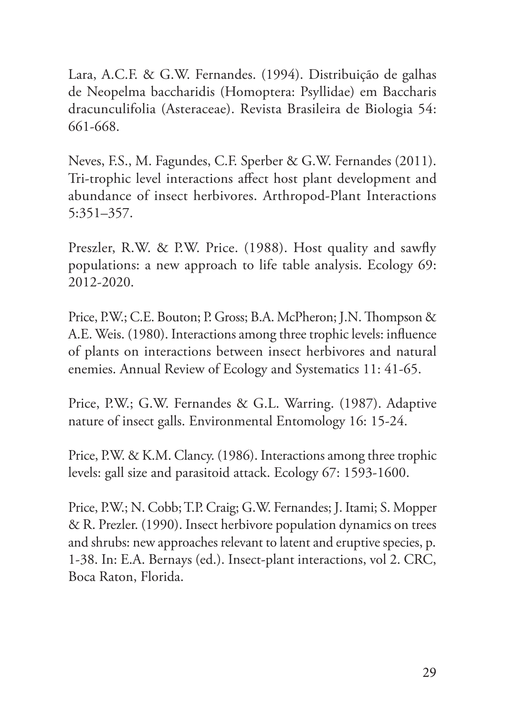Lara, A.C.F. & G.W. Fernandes. (1994). Distribuição de galhas de Neopelma baccharidis (Homoptera: Psyllidae) em Baccharis dracunculifolia (Asteraceae). Revista Brasileira de Biologia 54: 661-668.

Neves, F.S., M. Fagundes, C.F. Sperber & G.W. Fernandes (2011). Tri-trophic level interactions affect host plant development and abundance of insect herbivores. Arthropod-Plant Interactions 5:351–357.

Preszler, R.W. & P.W. Price. (1988). Host quality and sawfly populations: a new approach to life table analysis. Ecology 69: 2012-2020.

Price, P.W.; C.E. Bouton; P. Gross; B.A. McPheron; J.N. Thompson & A.E. Weis. (1980). Interactions among three trophic levels: influence of plants on interactions between insect herbivores and natural enemies. Annual Review of Ecology and Systematics 11: 41-65.

Price, P.W.; G.W. Fernandes & G.L. Warring. (1987). Adaptive nature of insect galls. Environmental Entomology 16: 15-24.

Price, P.W. & K.M. Clancy. (1986). Interactions among three trophic levels: gall size and parasitoid attack. Ecology 67: 1593-1600.

Price, P.W.; N. Cobb; T.P. Craig; G.W. Fernandes; J. Itami; S. Mopper & R. Prezler. (1990). Insect herbivore population dynamics on trees and shrubs: new approaches relevant to latent and eruptive species, p. 1-38. In: E.A. Bernays (ed.). Insect-plant interactions, vol 2. CRC, Boca Raton, Florida.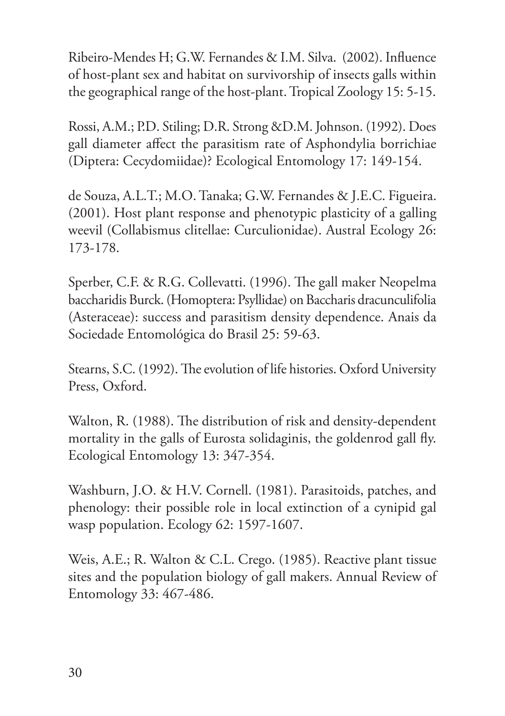Ribeiro-Mendes H; G.W. Fernandes & I.M. Silva. (2002). Influence of host-plant sex and habitat on survivorship of insects galls within the geographical range of the host-plant. Tropical Zoology 15: 5-15.

Rossi, A.M.; P.D. Stiling; D.R. Strong &D.M. Johnson. (1992). Does gall diameter affect the parasitism rate of Asphondylia borrichiae (Diptera: Cecydomiidae)? Ecological Entomology 17: 149-154.

de Souza, A.L.T.; M.O. Tanaka; G.W. Fernandes & J.E.C. Figueira. (2001). Host plant response and phenotypic plasticity of a galling weevil (Collabismus clitellae: Curculionidae). Austral Ecology 26: 173-178.

Sperber, C.F. & R.G. Collevatti. (1996). The gall maker Neopelma baccharidis Burck. (Homoptera: Psyllidae) on Baccharis dracunculifolia (Asteraceae): success and parasitism density dependence. Anais da Sociedade Entomológica do Brasil 25: 59-63.

Stearns, S.C. (1992). The evolution of life histories. Oxford University Press, Oxford.

Walton, R. (1988). The distribution of risk and density-dependent mortality in the galls of Eurosta solidaginis, the goldenrod gall fly. Ecological Entomology 13: 347-354.

Washburn, J.O. & H.V. Cornell. (1981). Parasitoids, patches, and phenology: their possible role in local extinction of a cynipid gal wasp population. Ecology 62: 1597-1607.

Weis, A.E.; R. Walton & C.L. Crego. (1985). Reactive plant tissue sites and the population biology of gall makers. Annual Review of Entomology 33: 467-486.